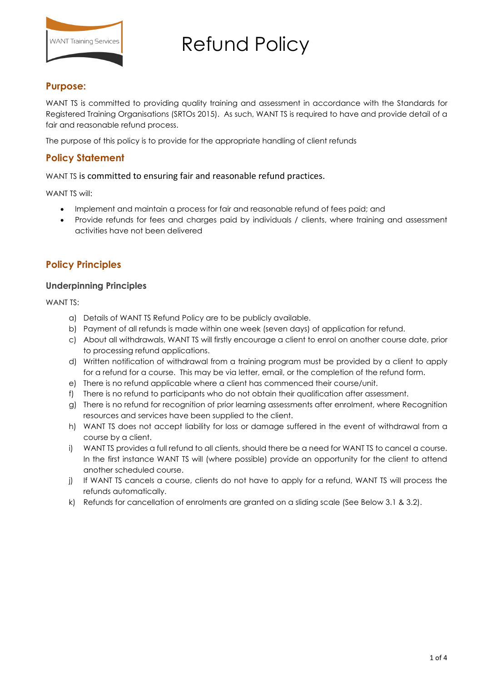

#### **Purpose:**

WANT TS is committed to providing quality training and assessment in accordance with the Standards for Registered Training Organisations (SRTOs 2015). As such, WANT TS is required to have and provide detail of a fair and reasonable refund process.

The purpose of this policy is to provide for the appropriate handling of client refunds

## **Policy Statement**

#### WANT TS is committed to ensuring fair and reasonable refund practices.

WANT TS will:

- Implement and maintain a process for fair and reasonable refund of fees paid; and
- Provide refunds for fees and charges paid by individuals / clients, where training and assessment activities have not been delivered

### **Policy Principles**

#### **Underpinning Principles**

WANT TS:

- a) Details of WANT TS Refund Policy are to be publicly available.
- b) Payment of all refunds is made within one week (seven days) of application for refund.
- c) About all withdrawals, WANT TS will firstly encourage a client to enrol on another course date, prior to processing refund applications.
- d) Written notification of withdrawal from a training program must be provided by a client to apply for a refund for a course. This may be via letter, email, or the completion of the refund form.
- e) There is no refund applicable where a client has commenced their course/unit.
- f) There is no refund to participants who do not obtain their qualification after assessment.
- g) There is no refund for recognition of prior learning assessments after enrolment, where Recognition resources and services have been supplied to the client.
- h) WANT TS does not accept liability for loss or damage suffered in the event of withdrawal from a course by a client.
- i) WANT TS provides a full refund to all clients, should there be a need for WANT TS to cancel a course. In the first instance WANT TS will (where possible) provide an opportunity for the client to attend another scheduled course.
- j) If WANT TS cancels a course, clients do not have to apply for a refund, WANT TS will process the refunds automatically.
- k) Refunds for cancellation of enrolments are granted on a sliding scale (See Below 3.1 & 3.2).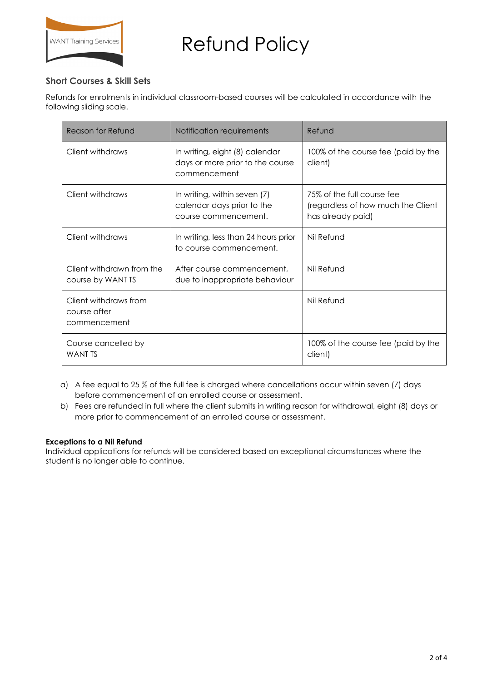

### **Short Courses & Skill Sets**

Refunds for enrolments in individual classroom-based courses will be calculated in accordance with the following sliding scale.

| Reason for Refund                                     | Notification requirements                                                          | Refund                                                                                |
|-------------------------------------------------------|------------------------------------------------------------------------------------|---------------------------------------------------------------------------------------|
| Client withdraws                                      | In writing, eight (8) calendar<br>days or more prior to the course<br>commencement | 100% of the course fee (paid by the<br>client)                                        |
| Client withdraws                                      | In writing, within seven (7)<br>calendar days prior to the<br>course commencement. | 75% of the full course fee<br>(regardless of how much the Client<br>has already paid) |
| Client withdraws                                      | In writing, less than 24 hours prior<br>to course commencement.                    | Nil Refund                                                                            |
| Client withdrawn from the<br>course by WANT TS        | After course commencement,<br>due to inappropriate behaviour                       | Nil Refund                                                                            |
| Client withdraws from<br>course after<br>commencement |                                                                                    | Nil Refund                                                                            |
| Course cancelled by<br><b>WANT TS</b>                 |                                                                                    | 100% of the course fee (paid by the<br>client)                                        |

- a) A fee equal to 25 % of the full fee is charged where cancellations occur within seven (7) days before commencement of an enrolled course or assessment.
- b) Fees are refunded in full where the client submits in writing reason for withdrawal, eight (8) days or more prior to commencement of an enrolled course or assessment.

#### **Exceptions to a Nil Refund**

Individual applications for refunds will be considered based on exceptional circumstances where the student is no longer able to continue.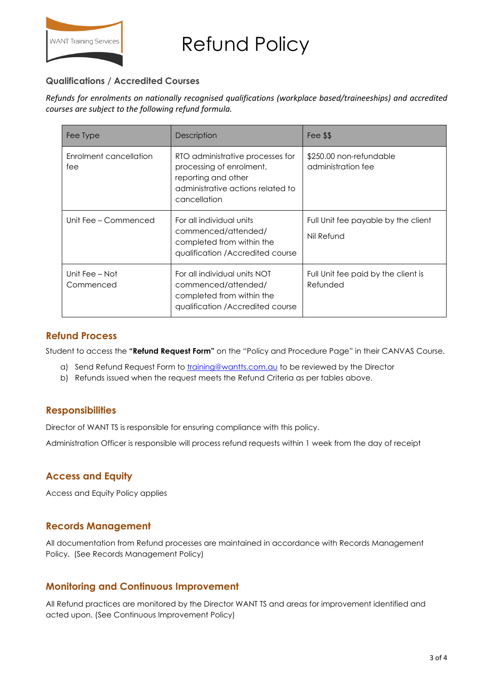

### **Qualifications / Accredited Courses**

*Refunds for enrolments on nationally recognised qualifications (workplace based/traineeships) and accredited courses are subject to the following refund formula.* 

| Fee Type                      | Description                                                                                                                              | Fee \$\$                                          |
|-------------------------------|------------------------------------------------------------------------------------------------------------------------------------------|---------------------------------------------------|
| Enrolment cancellation<br>fee | RTO administrative processes for<br>processing of enrolment,<br>reporting and other<br>administrative actions related to<br>cancellation | \$250.00 non-refundable<br>administration fee     |
| Unit Fee – Commenced          | For all individual units<br>commenced/attended/<br>completed from within the<br>qualification / Accredited course                        | Full Unit fee payable by the client<br>Nil Refund |
| Unit Fee - Not<br>Commenced   | For all individual units NOT<br>commenced/attended/<br>completed from within the<br>qualification / Accredited course                    | Full Unit fee paid by the client is<br>Refunded   |

### **Refund Process**

Student to access the **"Refund Request Form"** on the "Policy and Procedure Page" in their CANVAS Course.

- a) Send Refund Request Form to **training@wantts.com.au** to be reviewed by the Director
- b) Refunds issued when the request meets the Refund Criteria as per tables above.

### **Responsibilities**

Director of WANT TS is responsible for ensuring compliance with this policy.

Administration Officer is responsible will process refund requests within 1 week from the day of receipt

## **Access and Equity**

Access and Equity Policy applies

### **Records Management**

All documentation from Refund processes are maintained in accordance with Records Management Policy. (See Records Management Policy)

### **Monitoring and Continuous Improvement**

All Refund practices are monitored by the Director WANT TS and areas for improvement identified and acted upon. (See Continuous Improvement Policy)